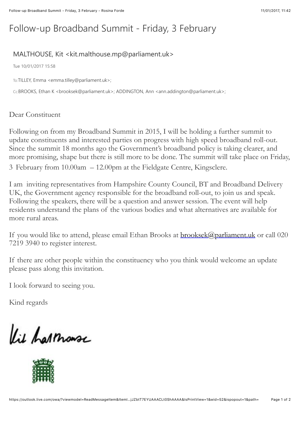## Follow-up Broadband Summit - Friday, 3 February

## MALTHOUSE, Kit < kit.malthouse.mp@parliament.uk>

Tue 10/01/2017 15:58

To:TILLEY, Emma <emma.tilley@parliament.uk>;

Cc:BROOKS, Ethan K <brooksek@parliament.uk>; ADDINGTON, Ann <ann.addington@parliament.uk>;

Dear Constituent

Following on from my Broadband Summit in 2015, I will be holding a further summit to update constituents and interested parties on progress with high speed broadband roll-out. Since the summit 18 months ago the Government's broadband policy is taking clearer, and more promising, shape but there is still more to be done. The summit will take place on Friday, 3 February from 10.00am – 12.00pm at the Fieldgate Centre, Kingsclere.

I am inviting representatives from Hampshire County Council, BT and Broadband Delivery UK, the Government agency responsible for the broadband roll-out, to join us and speak. Following the speakers, there will be a question and answer session. The event will help residents understand the plans of the various bodies and what alternatives are available for more rural areas.

If you would like to attend, please email Ethan Brooks at **brooksek@parliament.uk** or call 020 7219 3940 to register interest.

If there are other people within the constituency who you think would welcome an update please pass along this invitation.

I look forward to seeing you.

Kind regards

Kie harmonse